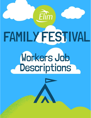# FAMILY FESTIVAL

 $E$ lim

# **Workers Job<br>Descriptions**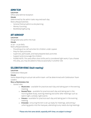# ADMIN TEAM

**LOCATION** Office area behind reception

#### **HOURS**

Determined by the admin tasks required each day Role & Responsibilities

- General Festival admin & site planning
- Money Counting
- Bookkeeping/buying

## ART WORKSHOP

#### **LOCATION**

Designated area within the Hub

#### **HOURS**

10.30 – 12.30 daily

Role & Responsibilities

- Providing art & craft activities for children under 12years
- Prep for daily activities
- Supervise, participate, and lead prepared daily activities
- Support and encourage the children
- PLEASE NOTE: This area offers short shifts and is considered light work; if you choose this area, you may be asked to help occasionally in another role

# CELEBRATION VENUE (Adult meeting)

#### **LOCATION**

Celebration Marquee

#### **HOURS**

Varies depending on actual role within team- will be determined with Celebration Team Leaders

#### Role & Responsibilities

- Varied roles
	- o **Musicians** available for practices each day and taking part in the evening meeting
	- $\circ$  **Sound/Tech** available for practices each day and taking part in the morning Bible Study, evening meeting and some 'after meetings' such as talent night, comedy night events
	- $\circ$  Visuals available for practices each day and taking part in the evening meeting
	- $\circ$  STEWARD ensuring the tent is set up ready for meetings, welcoming / ushering guests into the marquee, attending to any needs during meetings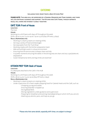# **CATERING**

#### Including Café, Sweet Shop & Back Kitchen Prep

PLEASE NOTE: This area will be supervised by a General Manager and Team Leaders, and there will be continual guidance and support. The Kitchen and Café Teams, though separate roles, will work and interact closely together.

# CAFÉ TEAM: Front of House

#### **LOCATION**

The Hub

#### **HOURS**

Working on a shift basis with days off throughout the week Shifts: 08.00-14.00 / 14.00-19.00 / 19.00-23.00 (Day Off every 3 days)

#### Role & Responsibilities

- Working in a team  $(4 \text{ teams on rotating shifts})$
- Serving a variety of food and beverages
- Serving sweets from the 'Tuck Shop'
- Working closely with the kitchen preparation team
- Able and willing to work in a busy environment
- Ensuring that the service area is always clean and tidy
- In quieter moments ensuring the tables in the dining area are clean and any cups/plates etc. disposed of
- Good interpersonal skills and big smiles are essential!

# KITCHEN PREP TEAM: Back of house

#### **LOCATION**

In a Marquee attached to the Café in the HUB

#### **HOURS**

Working on a shift basis with days off throughout the week Shifts: 08.00-14.00 / 14.00-19.00 (Day Off every 2 days)

#### Role & Responsibilities

- Working in a team (3 teams on rotating shifts)
- Under supervision of a Team Leader prepping food for Catered meals and the Café, such as:
	- : Chopping up veg and salads
	- : Ensuring Salad Bar is topped up
	- : Slicing Bread Rolls
	- : Mixing ingredients under guidance and supervision
	- : Preparing for breakfast and evening meal (depending on which shift you are on)
	- : Washing up utensils, pans, and trays as you go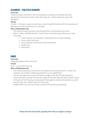# CLEANERS – TOILETS & SHOWERS

#### **LOCATION**

Toilets & Shower facilities in the Hub building, including the Disabled facilities. Equipment and stocks of extra toilet rolls, soap, etc. will be stored securely with Reception.

#### **HOURS**

Flexible – the team usually co-ordinate a rota among themselves with the assistance of Reception and/or the Workers Co-ordinator.

#### Role & Responsibilities

- The toilet & shower facilities must be kept clean and stocked at all times.
- Men's, Ladies, disabled Showers, toilets floors need cleaning at least once a day, including:
	- o Clean showers including hair traps (essential to avoid flooding)
	- o Clean toilets and sinks
	- o Ensure plenty of toilet roles and hand towels
	- o Empty bins
	- o Mop floors

# DINER

#### **LOCATION**

Designated space within the Hub

#### **HOURS**

19.30 – 23.30 every evening

#### Role & Responsibilities

- You will be expected to work every evening to ensure all equipment is clean and ready for use, boilers/ cooking equipment is up to speed/heat
- You will be expected to cook and serve a range of fast food & take payments
- Clean and wash up after each service ready for the next day and take rubbish to skip
- At the end of the final day, all equipment thoroughly cleaned and packed up, work area left tidy, and rubbish taken to the to skip
- PLEASE NOTE: You will not be able to attend all the evening meetings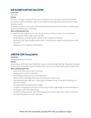# HUB CLEANER & REFUSE COLLECTION

#### **LOCATION**

The Hub

#### **HOURS**

Flexible – though a sweep of the space to check if any cleaning is required should be carried out: before breakfast, after lunch, after the evening meal and as the Hub closes (approx. 23.00)

The team usually co-ordinate a rota among themselves with the assistance of Reception and/or the Workers Co-ordinator.

#### Role & Responsibilities

It is vital that the HUB remains clean & tidy as this is often a visitor's first impression

- Ensuring the HUB is kept clean and tidy
- Emptying bins and taking the rubbish to the rubbish containers
- Assisting Café Team to keep tables clean wiping down tables and putting any litter into bins
- Taking any lost property to Reception

# JUNCTION TEAM (Young Adults)

#### **LOCATION**

Designated area in the Hub

#### **HOURS**

08.00-08.30 Morning Prayer Meeting / 10.30-12.00 Morning Meeting / May also be asked to assist with some after hours entertainment, such as the Silent Disco and/or Open Mic.

#### Role & Responsibilities

- Lead small discussions each morning
- Praying with Junction members
- Build relationships with Junction Members
- Attend all the meetings (mornings only) and pre prayer time
- Hosting meetings, take part in leading ice breakers, serve in the worship group, or preach if asked
- To supervise/oversee Junction Village
- To assist in keeping the Junction venue clean & tidy & generally be self-motivated in looking for jobs that need doing
- All staff to help set down after the final session on the Friday then return to remove and pack equipment on the Saturday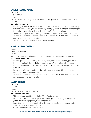# LIVESET TEAM (12-15yrs)

#### **LOCATION**

Liveset Marquee

#### **HOURS**

09.50-12.00 each morning / 16.45 for debriefing and prayer each day / 19.00-21.00 each evening

#### Role & Responsibilities

- Jobs assigned within the team based on giftings & ability which may include leading worship, leading small groups, preaching, leading games & praying for young people
- Need a heart for God, a Bible (or at least the app) & £12 to buy a hoody
- There are 1 or 2 pre-festival meetings throughout the year depending on your role
- All staff to help set down after the final session on the Friday then return to remove and pack equipment on the Saturday
- Team members will have a day off through the week

# POWERKIDS TEAM (6-11yrs)

#### **LOCATION**

Powerkids Marquee

#### **HOURS**

09.30-11.30 / 18.45-21.30 / Some extra prep assistance may occasionally be needed

#### Role & Responsibilities

- Involves prepping & delivering activities, games, talks, stories, dramas, prayers etc
- Need to be patient, flexible, helpful, ready to serve & willing to work in a team
- Need to be attentive to the needs of children, ready to listen, encourage, support, and have fun
- Prepared to attend prep activities during the day as required  $\&$  there will be an afterhours campfire occasionally
- All staff to help set down after the final session on the Friday then return to remove and pack equipment on the Saturday

# RECEPTION TEAM

#### **LOCATION**

The Hub

#### **HOURS**

09.00-19.30 every day on a shift basis

#### Role & Responsibilities

- This is a central point for the whole of Elim Family Festival
- Dealing with onsite bookings, general enquiries, problem solving, loaning board games and sport equipment, overseeing the Hub
- Reception staff need to be motived, well organised, comfortable working under pressure and able to retain information
- Good interpersonal skills are essential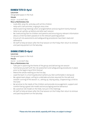# RAINBOW TOTS (0-4yrs)

#### **LOCATION**

Designated space in the Hub

#### **HOURS**

09.30 – 11.45 each day

#### Role & Responsibilities

- Look after, pray for, and play with all the children
- Help with craft activities, singing & story time
- Attend planning meetings when arranged before and during Elim Family Festival
- Help to set up/tidy up before and after each session
- Be a welcoming face to children and parents and ensuring any relevant information about a child has been passed on to the relevant parent/guardian
- Ensure all risk assessments and safeguarding procedures have been read and adhered to
- All staff to help set down after the final session on the Friday then return to remove and pack equipment on the Saturday

# SHINING STARS (5-6yrs)

#### **LOCATION**

Designated space in the Hub

#### **HOURS**

09.00 – 12.00 each day

#### Role & Responsibilities

- Take part in planning the theme of the group and delivering one session
- Familiarise yourself with the risk assessment and safeguarding procedures in place prior to the beginning of Elim Festival
- Attend the whole meeting on the first day
- Lead the team in a morning devotion (where you feel comfortable in doing so)
- Be a great team player, willing to undertake activities required for the safe and smooth running of the session i.e., setting up, tidying away, chaperoning a child to the toilet
- Be sensitive to the needs of the children and provide encouragement, support and comfort being a good role model and encouraging positive behaviour
- Be a positive role model on the field, not just in the meetings
- All staff to help set down after the final session on the Friday then return to remove and pack equipment on the Saturday